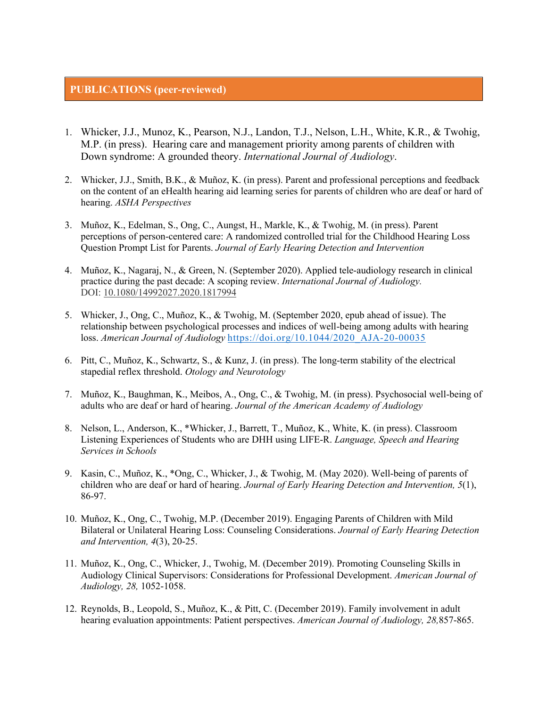## **PUBLICATIONS (peer-reviewed)**

- 1. Whicker, J.J., Munoz, K., Pearson, N.J., Landon, T.J., Nelson, L.H., White, K.R., & Twohig, M.P. (in press). Hearing care and management priority among parents of children with Down syndrome: A grounded theory. *International Journal of Audiology*.
- 2. Whicker, J.J., Smith, B.K., & Muñoz, K. (in press). Parent and professional perceptions and feedback on the content of an eHealth hearing aid learning series for parents of children who are deaf or hard of hearing. *ASHA Perspectives*
- 3. Muñoz, K., Edelman, S., Ong, C., Aungst, H., Markle, K., & Twohig, M. (in press). Parent perceptions of person-centered care: A randomized controlled trial for the Childhood Hearing Loss Question Prompt List for Parents. *Journal of Early Hearing Detection and Intervention*
- 4. Muñoz, K., Nagaraj, N., & Green, N. (September 2020). Applied tele-audiology research in clinical practice during the past decade: A scoping review. *International Journal of Audiology.*  DOI: 10.1080/14992027.2020.1817994
- 5. Whicker, J., Ong, C., Muñoz, K., & Twohig, M. (September 2020, epub ahead of issue). The relationship between psychological processes and indices of well-being among adults with hearing loss. *American Journal of Audiology* https://doi.org/10.1044/2020\_AJA-20-00035
- 6. Pitt, C., Muñoz, K., Schwartz, S., & Kunz, J. (in press). The long-term stability of the electrical stapedial reflex threshold. *Otology and Neurotology*
- 7. Muñoz, K., Baughman, K., Meibos, A., Ong, C., & Twohig, M. (in press). Psychosocial well-being of adults who are deaf or hard of hearing. *Journal of the American Academy of Audiology*
- 8. Nelson, L., Anderson, K., \*Whicker, J., Barrett, T., Muñoz, K., White, K. (in press). Classroom Listening Experiences of Students who are DHH using LIFE-R. *Language, Speech and Hearing Services in Schools*
- 9. Kasin, C., Muñoz, K., \*Ong, C., Whicker, J., & Twohig, M. (May 2020). Well-being of parents of children who are deaf or hard of hearing. *Journal of Early Hearing Detection and Intervention, 5*(1), 86-97.
- 10. Muñoz, K., Ong, C., Twohig, M.P. (December 2019). Engaging Parents of Children with Mild Bilateral or Unilateral Hearing Loss: Counseling Considerations. *Journal of Early Hearing Detection and Intervention, 4*(3), 20-25.
- 11. Muñoz, K., Ong, C., Whicker, J., Twohig, M. (December 2019). Promoting Counseling Skills in Audiology Clinical Supervisors: Considerations for Professional Development. *American Journal of Audiology, 28,* 1052-1058.
- 12. Reynolds, B., Leopold, S., Muñoz, K., & Pitt, C. (December 2019). Family involvement in adult hearing evaluation appointments: Patient perspectives. *American Journal of Audiology, 28,*857-865.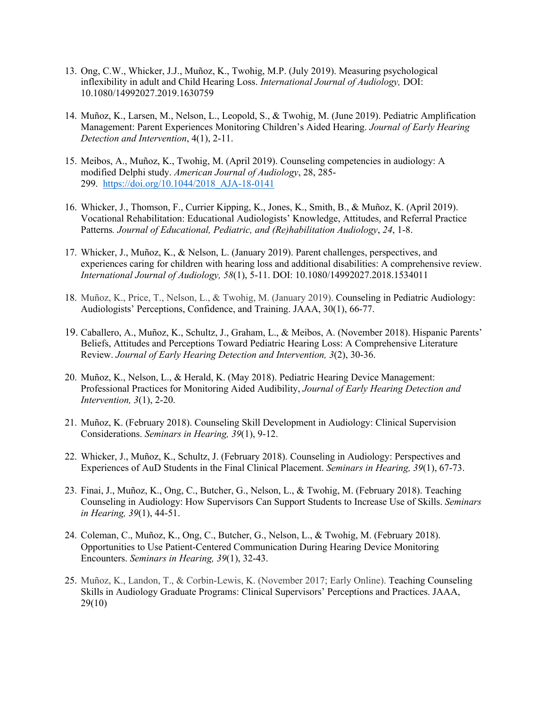- 13. Ong, C.W., Whicker, J.J., Muñoz, K., Twohig, M.P. (July 2019). Measuring psychological inflexibility in adult and Child Hearing Loss. *International Journal of Audiology,* DOI: 10.1080/14992027.2019.1630759
- 14. Muñoz, K., Larsen, M., Nelson, L., Leopold, S., & Twohig, M. (June 2019). Pediatric Amplification Management: Parent Experiences Monitoring Children's Aided Hearing. *Journal of Early Hearing Detection and Intervention*, 4(1), 2-11.
- 15. Meibos, A., Muñoz, K., Twohig, M. (April 2019). Counseling competencies in audiology: A modified Delphi study. *American Journal of Audiology*, 28, 285- 299. https://doi.org/10.1044/2018\_AJA-18-0141
- 16. Whicker, J., Thomson, F., Currier Kipping, K., Jones, K., Smith, B., & Muñoz, K. (April 2019). Vocational Rehabilitation: Educational Audiologists' Knowledge, Attitudes, and Referral Practice Patterns*. Journal of Educational, Pediatric, and (Re)habilitation Audiology*, *24*, 1-8.
- 17. Whicker, J., Muñoz, K., & Nelson, L. (January 2019). Parent challenges, perspectives, and experiences caring for children with hearing loss and additional disabilities: A comprehensive review. *International Journal of Audiology, 58*(1), 5-11. DOI: 10.1080/14992027.2018.1534011
- 18. Muñoz, K., Price, T., Nelson, L., & Twohig, M. (January 2019). Counseling in Pediatric Audiology: Audiologists' Perceptions, Confidence, and Training. JAAA, 30(1), 66-77.
- 19. Caballero, A., Muñoz, K., Schultz, J., Graham, L., & Meibos, A. (November 2018). Hispanic Parents' Beliefs, Attitudes and Perceptions Toward Pediatric Hearing Loss: A Comprehensive Literature Review. *Journal of Early Hearing Detection and Intervention, 3*(2), 30-36.
- 20. Muñoz, K., Nelson, L., & Herald, K. (May 2018). Pediatric Hearing Device Management: Professional Practices for Monitoring Aided Audibility, *Journal of Early Hearing Detection and Intervention, 3*(1), 2-20.
- 21. Muñoz, K. (February 2018). Counseling Skill Development in Audiology: Clinical Supervision Considerations. *Seminars in Hearing, 39*(1), 9-12.
- 22. Whicker, J., Muñoz, K., Schultz, J. (February 2018). Counseling in Audiology: Perspectives and Experiences of AuD Students in the Final Clinical Placement. *Seminars in Hearing, 39*(1), 67-73.
- 23. Finai, J., Muñoz, K., Ong, C., Butcher, G., Nelson, L., & Twohig, M. (February 2018). Teaching Counseling in Audiology: How Supervisors Can Support Students to Increase Use of Skills. *Seminars in Hearing, 39*(1), 44-51.
- 24. Coleman, C., Muñoz, K., Ong, C., Butcher, G., Nelson, L., & Twohig, M. (February 2018). Opportunities to Use Patient-Centered Communication During Hearing Device Monitoring Encounters. *Seminars in Hearing, 39*(1), 32-43.
- 25. Muñoz, K., Landon, T., & Corbin-Lewis, K. (November 2017; Early Online). Teaching Counseling Skills in Audiology Graduate Programs: Clinical Supervisors' Perceptions and Practices. JAAA, 29(10)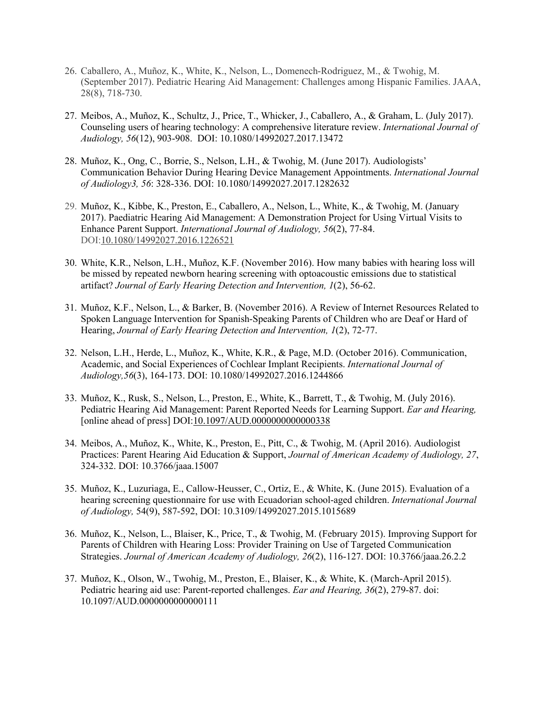- 26. Caballero, A., Muñoz, K., White, K., Nelson, L., Domenech-Rodriguez, M., & Twohig, M. (September 2017). Pediatric Hearing Aid Management: Challenges among Hispanic Families. JAAA, 28(8), 718-730.
- 27. Meibos, A., Muñoz, K., Schultz, J., Price, T., Whicker, J., Caballero, A., & Graham, L. (July 2017). Counseling users of hearing technology: A comprehensive literature review. *International Journal of Audiology, 56*(12), 903-908. DOI: 10.1080/14992027.2017.13472
- 28. Muñoz, K., Ong, C., Borrie, S., Nelson, L.H., & Twohig, M. (June 2017). Audiologists' Communication Behavior During Hearing Device Management Appointments. *International Journal of Audiology3, 56*: 328-336. DOI: 10.1080/14992027.2017.1282632
- 29. Muñoz, K., Kibbe, K., Preston, E., Caballero, A., Nelson, L., White, K., & Twohig, M. (January 2017). Paediatric Hearing Aid Management: A Demonstration Project for Using Virtual Visits to Enhance Parent Support. *International Journal of Audiology, 56*(2), 77-84. DOI:10.1080/14992027.2016.1226521
- 30. White, K.R., Nelson, L.H., Muñoz, K.F. (November 2016). How many babies with hearing loss will be missed by repeated newborn hearing screening with optoacoustic emissions due to statistical artifact? *Journal of Early Hearing Detection and Intervention, 1*(2), 56-62.
- 31. Muñoz, K.F., Nelson, L., & Barker, B. (November 2016). A Review of Internet Resources Related to Spoken Language Intervention for Spanish-Speaking Parents of Children who are Deaf or Hard of Hearing, *Journal of Early Hearing Detection and Intervention, 1*(2), 72-77.
- 32. Nelson, L.H., Herde, L., Muñoz, K., White, K.R., & Page, M.D. (October 2016). Communication, Academic, and Social Experiences of Cochlear Implant Recipients. *International Journal of Audiology,56*(3), 164-173. DOI: 10.1080/14992027.2016.1244866
- 33. Muñoz, K., Rusk, S., Nelson, L., Preston, E., White, K., Barrett, T., & Twohig, M. (July 2016). Pediatric Hearing Aid Management: Parent Reported Needs for Learning Support. *Ear and Hearing,* [online ahead of press] DOI:10.1097/AUD.0000000000000338
- 34. Meibos, A., Muñoz, K., White, K., Preston, E., Pitt, C., & Twohig, M. (April 2016). Audiologist Practices: Parent Hearing Aid Education & Support, *Journal of American Academy of Audiology, 27*, 324-332. DOI: 10.3766/jaaa.15007
- 35. Muñoz, K., Luzuriaga, E., Callow-Heusser, C., Ortiz, E., & White, K. (June 2015). Evaluation of a hearing screening questionnaire for use with Ecuadorian school-aged children. *International Journal of Audiology,* 54(9), 587-592, DOI: 10.3109/14992027.2015.1015689
- 36. Muñoz, K., Nelson, L., Blaiser, K., Price, T., & Twohig, M. (February 2015). Improving Support for Parents of Children with Hearing Loss: Provider Training on Use of Targeted Communication Strategies. *Journal of American Academy of Audiology, 26*(2), 116-127. DOI: 10.3766/jaaa.26.2.2
- 37. Muñoz, K., Olson, W., Twohig, M., Preston, E., Blaiser, K., & White, K. (March-April 2015). Pediatric hearing aid use: Parent-reported challenges. *Ear and Hearing, 36*(2), 279-87. doi: 10.1097/AUD.0000000000000111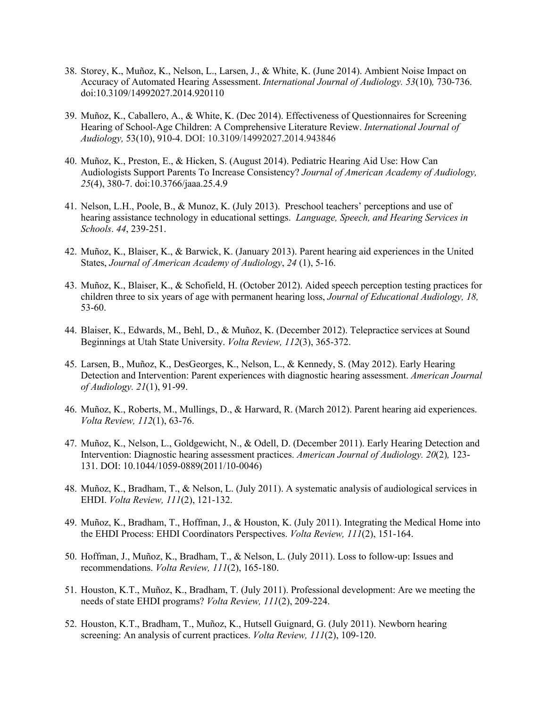- 38. Storey, K., Muñoz, K., Nelson, L., Larsen, J., & White, K. (June 2014). Ambient Noise Impact on Accuracy of Automated Hearing Assessment. *International Journal of Audiology. 53*(10)*,* 730-736. doi:10.3109/14992027.2014.920110
- 39. Muñoz, K., Caballero, A., & White, K. (Dec 2014). Effectiveness of Questionnaires for Screening Hearing of School-Age Children: A Comprehensive Literature Review. *International Journal of Audiology,* 53(10), 910-4. DOI: 10.3109/14992027.2014.943846
- 40. Muñoz, K., Preston, E., & Hicken, S. (August 2014). Pediatric Hearing Aid Use: How Can Audiologists Support Parents To Increase Consistency? *Journal of American Academy of Audiology, 25*(4), 380-7. doi:10.3766/jaaa.25.4.9
- 41. Nelson, L.H., Poole, B., & Munoz, K. (July 2013). Preschool teachers' perceptions and use of hearing assistance technology in educational settings. *Language, Speech, and Hearing Services in Schools*. *44*, 239-251.
- 42. Muñoz, K., Blaiser, K., & Barwick, K. (January 2013). Parent hearing aid experiences in the United States, *Journal of American Academy of Audiology*, *24* (1), 5-16.
- 43. Muñoz, K., Blaiser, K., & Schofield, H. (October 2012). Aided speech perception testing practices for children three to six years of age with permanent hearing loss, *Journal of Educational Audiology, 18,*  53-60.
- 44. Blaiser, K., Edwards, M., Behl, D., & Muñoz, K. (December 2012). Telepractice services at Sound Beginnings at Utah State University. *Volta Review, 112*(3), 365-372.
- 45. Larsen, B., Muñoz, K., DesGeorges, K., Nelson, L., & Kennedy, S. (May 2012). Early Hearing Detection and Intervention: Parent experiences with diagnostic hearing assessment. *American Journal of Audiology. 21*(1), 91-99.
- 46. Muñoz, K., Roberts, M., Mullings, D., & Harward, R. (March 2012). Parent hearing aid experiences. *Volta Review, 112*(1), 63-76.
- 47. Muñoz, K., Nelson, L., Goldgewicht, N., & Odell, D. (December 2011). Early Hearing Detection and Intervention: Diagnostic hearing assessment practices. *American Journal of Audiology. 20*(2)*,* 123- 131. DOI: 10.1044/1059-0889(2011/10-0046)
- 48. Muñoz, K., Bradham, T., & Nelson, L. (July 2011). A systematic analysis of audiological services in EHDI. *Volta Review, 111*(2), 121-132.
- 49. Muñoz, K., Bradham, T., Hoffman, J., & Houston, K. (July 2011). Integrating the Medical Home into the EHDI Process: EHDI Coordinators Perspectives. *Volta Review, 111*(2), 151-164.
- 50. Hoffman, J., Muñoz, K., Bradham, T., & Nelson, L. (July 2011). Loss to follow-up: Issues and recommendations. *Volta Review, 111*(2), 165-180.
- 51. Houston, K.T., Muñoz, K., Bradham, T. (July 2011). Professional development: Are we meeting the needs of state EHDI programs? *Volta Review, 111*(2), 209-224.
- 52. Houston, K.T., Bradham, T., Muñoz, K., Hutsell Guignard, G. (July 2011). Newborn hearing screening: An analysis of current practices. *Volta Review, 111*(2), 109-120.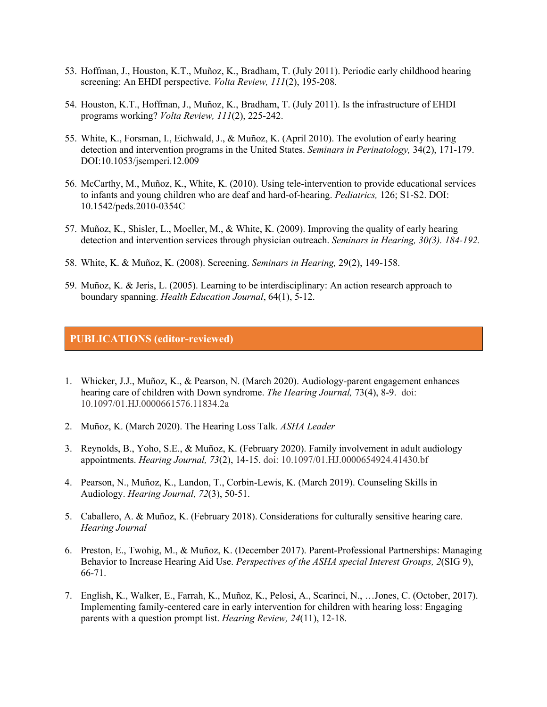- 53. Hoffman, J., Houston, K.T., Muñoz, K., Bradham, T. (July 2011). Periodic early childhood hearing screening: An EHDI perspective. *Volta Review, 111*(2), 195-208.
- 54. Houston, K.T., Hoffman, J., Muñoz, K., Bradham, T. (July 2011). Is the infrastructure of EHDI programs working? *Volta Review, 111*(2), 225-242.
- 55. White, K., Forsman, I., Eichwald, J., & Muñoz, K. (April 2010). The evolution of early hearing detection and intervention programs in the United States. *Seminars in Perinatology,* 34(2), 171-179. DOI:10.1053/jsemperi.12.009
- 56. McCarthy, M., Muñoz, K., White, K. (2010). Using tele-intervention to provide educational services to infants and young children who are deaf and hard-of-hearing. *Pediatrics,* 126; S1-S2. DOI: 10.1542/peds.2010-0354C
- 57. Muñoz, K., Shisler, L., Moeller, M., & White, K. (2009). Improving the quality of early hearing detection and intervention services through physician outreach. *Seminars in Hearing, 30(3). 184-192.*
- 58. White, K. & Muñoz, K. (2008). Screening. *Seminars in Hearing,* 29(2), 149-158.
- 59. Muñoz, K. & Jeris, L. (2005). Learning to be interdisciplinary: An action research approach to boundary spanning. *Health Education Journal*, 64(1), 5-12.

## **PUBLICATIONS (editor-reviewed)**

- 1. Whicker, J.J., Muñoz, K., & Pearson, N. (March 2020). Audiology-parent engagement enhances hearing care of children with Down syndrome. *The Hearing Journal,* 73(4), 8-9. doi: 10.1097/01.HJ.0000661576.11834.2a
- 2. Muñoz, K. (March 2020). The Hearing Loss Talk. *ASHA Leader*
- 3. Reynolds, B., Yoho, S.E., & Muñoz, K. (February 2020). Family involvement in adult audiology appointments. *Hearing Journal, 73*(2), 14-15. doi: 10.1097/01.HJ.0000654924.41430.bf
- 4. Pearson, N., Muñoz, K., Landon, T., Corbin-Lewis, K. (March 2019). Counseling Skills in Audiology. *Hearing Journal, 72*(3), 50-51.
- 5. Caballero, A. & Muñoz, K. (February 2018). Considerations for culturally sensitive hearing care. *Hearing Journal*
- 6. Preston, E., Twohig, M., & Muñoz, K. (December 2017). Parent-Professional Partnerships: Managing Behavior to Increase Hearing Aid Use. *Perspectives of the ASHA special Interest Groups, 2*(SIG 9), 66-71.
- 7. English, K., Walker, E., Farrah, K., Muñoz, K., Pelosi, A., Scarinci, N., …Jones, C. (October, 2017). Implementing family-centered care in early intervention for children with hearing loss: Engaging parents with a question prompt list. *Hearing Review, 24*(11), 12-18.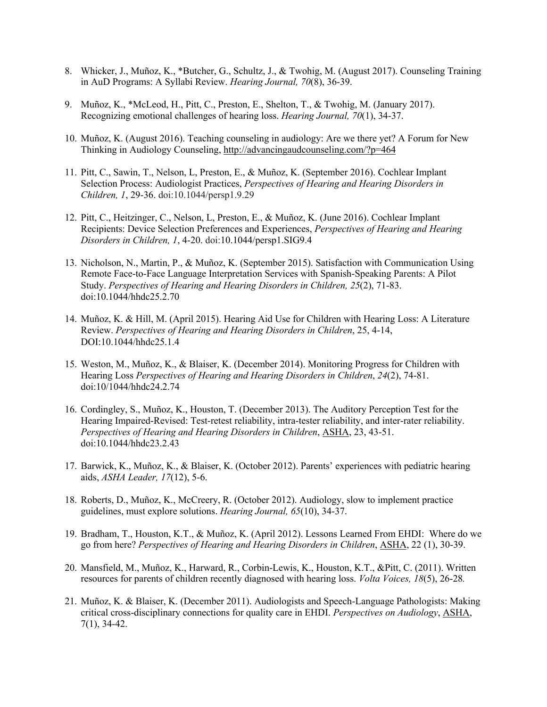- 8. Whicker, J., Muñoz, K., \*Butcher, G., Schultz, J., & Twohig, M. (August 2017). Counseling Training in AuD Programs: A Syllabi Review. *Hearing Journal, 70*(8), 36-39.
- 9. Muñoz, K., \*McLeod, H., Pitt, C., Preston, E., Shelton, T., & Twohig, M. (January 2017). Recognizing emotional challenges of hearing loss. *Hearing Journal, 70*(1), 34-37.
- 10. Muñoz, K. (August 2016). Teaching counseling in audiology: Are we there yet? A Forum for New Thinking in Audiology Counseling, http://advancingaudcounseling.com/?p=464
- 11. Pitt, C., Sawin, T., Nelson, L, Preston, E., & Muñoz, K. (September 2016). Cochlear Implant Selection Process: Audiologist Practices, *Perspectives of Hearing and Hearing Disorders in Children, 1*, 29-36. doi:10.1044/persp1.9.29
- 12. Pitt, C., Heitzinger, C., Nelson, L, Preston, E., & Muñoz, K. (June 2016). Cochlear Implant Recipients: Device Selection Preferences and Experiences, *Perspectives of Hearing and Hearing Disorders in Children, 1*, 4-20. doi:10.1044/persp1.SIG9.4
- 13. Nicholson, N., Martin, P., & Muñoz, K. (September 2015). Satisfaction with Communication Using Remote Face-to-Face Language Interpretation Services with Spanish-Speaking Parents: A Pilot Study. *Perspectives of Hearing and Hearing Disorders in Children, 25*(2), 71-83. doi:10.1044/hhdc25.2.70
- 14. Muñoz, K. & Hill, M. (April 2015). Hearing Aid Use for Children with Hearing Loss: A Literature Review. *Perspectives of Hearing and Hearing Disorders in Children*, 25, 4-14, DOI:10.1044/hhdc25.1.4
- 15. Weston, M., Muñoz, K., & Blaiser, K. (December 2014). Monitoring Progress for Children with Hearing Loss *Perspectives of Hearing and Hearing Disorders in Children*, *24*(2), 74-81. doi:10/1044/hhdc24.2.74
- 16. Cordingley, S., Muñoz, K., Houston, T. (December 2013). The Auditory Perception Test for the Hearing Impaired-Revised: Test-retest reliability, intra-tester reliability, and inter-rater reliability. *Perspectives of Hearing and Hearing Disorders in Children*, ASHA, 23, 43-51. doi:10.1044/hhdc23.2.43
- 17. Barwick, K., Muñoz, K., & Blaiser, K. (October 2012). Parents' experiences with pediatric hearing aids, *ASHA Leader, 17*(12), 5-6.
- 18. Roberts, D., Muñoz, K., McCreery, R. (October 2012). Audiology, slow to implement practice guidelines, must explore solutions. *Hearing Journal, 65*(10), 34-37.
- 19. Bradham, T., Houston, K.T., & Muñoz, K. (April 2012). Lessons Learned From EHDI: Where do we go from here? *Perspectives of Hearing and Hearing Disorders in Children*, ASHA, 22 (1), 30-39.
- 20. Mansfield, M., Muñoz, K., Harward, R., Corbin-Lewis, K., Houston, K.T., &Pitt, C. (2011). Written resources for parents of children recently diagnosed with hearing loss. *Volta Voices, 18*(5), 26-28*.*
- 21. Muñoz, K. & Blaiser, K. (December 2011). Audiologists and Speech-Language Pathologists: Making critical cross-disciplinary connections for quality care in EHDI. *Perspectives on Audiology*, ASHA, 7(1), 34-42.